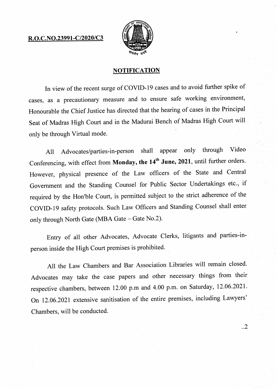## **R.O.C.NO.23991-C/2020/C3**



## **NOTIFICATION**

In view of the recent surge of COVID-19 cases and to avoid further spike of cases, as a precautionary measure and to ensure safe working environment, Honourable the Chief Justice has directed that the hearing of cases in the Principal Seat of Madras High Court and in the Madurai Bench of Madras High Court will only be through Virtual mode.

All Advocates/parties-in-person shall appear only through Video Conferencing, with effect from Monday, the 14<sup>th</sup> June, 2021, until further orders. However, physical presence of the Law officers of the State and Central Government and the Standing Counsel for Public Sector Undertakings etc., if required by the Hon'ble Court, is permitted subject to the strict adherence of the COVID-19 safety protocols. Such Law Officers and Standing Counsel shall enter only through North Gate (MBA Gate — Gate No.2).

Entry of all other Advocates, Advocate Clerks, litigants and parties-inperson inside the High Court premises is prohibited.

All the Law Chambers and Bar Association Libraries will remain closed. Advocates may take the case papers and other necessary things from their respective chambers, between 12.00 p.m and 4.00 p.m. on Saturday, 12.06.2021. On 12.06.2021 extensive sanitisation of the entire premises, including Lawyers' Chambers, will be conducted.

 $\cdot$ .2